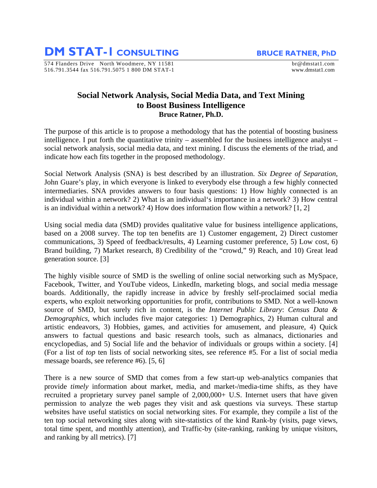**DM STAT-1 CONSULTING** BRUCE RATNER, PhD

574 Flanders Drive North Woodmere, NY 11581 br@dmstat1.com 516.791.3544 fax 516.791.5075 1 800 DM STAT-1 www.dmstat1.com

## **Social Network Analysis, Social Media Data, and Text Mining to Boost Business Intelligence Bruce Ratner, Ph.D.**

The purpose of this article is to propose a methodology that has the potential of boosting business intelligence. I put forth the quantitative trinity – assembled for the business intelligence analyst – social network analysis, social media data, and text mining. I discuss the elements of the triad, and indicate how each fits together in the proposed methodology.

Social Network Analysis (SNA) is best described by an illustration. *Six Degree of Separation*, John Guare's play, in which everyone is linked to everybody else through a few highly connected intermediaries. SNA provides answers to four basis questions: 1) How highly connected is an individual within a network? 2) What is an individual's importance in a network? 3) How central is an individual within a network? 4) How does information flow within a network? [1, 2]

Using social media data (SMD) provides qualitative value for business intelligence applications, based on a 2008 survey. The top ten benefits are 1) Customer engagement, 2) Direct customer communications, 3) Speed of feedback/results, 4) Learning customer preference, 5) Low cost, 6) Brand building, 7) Market research, 8) Credibility of the "crowd," 9) Reach, and 10) Great lead generation source. [3]

The highly visible source of SMD is the swelling of online social networking such as MySpace, Facebook, Twitter, and YouTube videos, LinkedIn, marketing blogs, and social media message boards. Additionally, the rapidly increase in advice by freshly self-proclaimed social media experts, who exploit networking opportunities for profit, contributions to SMD. Not a well-known source of SMD, but surely rich in content, is the *Internet Public Library*: *Census Data & Demographics,* which includes five major categories: 1) Demographics, 2) Human cultural and artistic endeavors, 3) Hobbies, games, and activities for amusement, and pleasure, 4) Quick answers to factual questions and basic research tools, such as almanacs, dictionaries and encyclopedias, and 5) Social life and the behavior of individuals or groups within a society. [4] (For a list of *top* ten lists of social networking sites, see reference #5. For a list of social media message boards, see reference #6). [5, 6]

There is a new source of SMD that comes from a few start-up web-analytics companies that provide *timely* information about market, media, and market-/media-time shifts, as they have recruited a proprietary survey panel sample of 2,000,000+ U.S. Internet users that have given permission to analyze the web pages they visit and ask questions via surveys. These startup websites have useful statistics on social networking sites. For example, they compile a list of the ten top social networking sites along with site-statistics of the kind Rank-by (visits, page views, total time spent, and monthly attention), and Traffic-by (site-ranking, ranking by unique visitors, and ranking by all metrics). [7]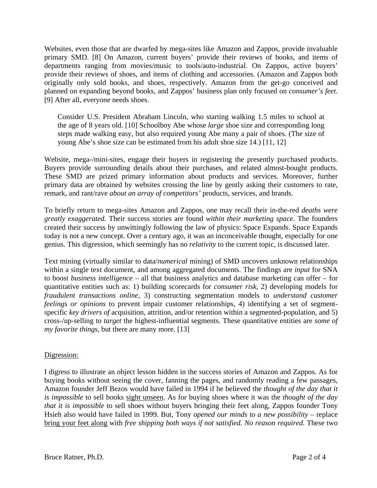Websites, even those that are dwarfed by mega-sites like Amazon and Zappos, provide invaluable primary SMD. [8] On Amazon, current buyers' provide their reviews of books, and items of departments ranging from movies/music to tools/auto-industrial. On Zappos, active buyers' provide their reviews of shoes, and items of clothing and accessories. (Amazon and Zappos both originally only sold books, and shoes, respectively. Amazon from the get-go conceived and planned on expanding beyond books, and Zappos' business plan only focused on *consumer's feet*. [9] After all, everyone needs shoes.

Consider U.S. President Abraham Lincoln, who starting walking 1.5 miles to school at the age of 8 years old. [10] Schoolboy Abe whose *large* shoe size and corresponding long steps made walking easy, but also required young Abe many a pair of shoes. (The size of young Abe's shoe size can be estimated from his adult shoe size 14.) [11, 12]

Website, mega-/mini-sites, engage their buyers in registering the presently purchased products. Buyers provide surrounding details about their purchases, and related almost-bought products. These SMD are prized primary information about products and services. Moreover, further primary data are obtained by websites crossing the line by gently asking their customers to rate, remark, and rant/rave *about an array of competitors'* products, services, and brands.

To briefly return to mega-sites Amazon and Zappos, one may recall their in-the-red *deaths were greatly exaggerated.* Their success stories are found *within their marketing space*. The founders created their success by unwittingly following the law of physics: Space Expands. Space Expands today is not a new concept. Over a century ago, it was an inconceivable thought, especially for one genius. This digression, which seemingly has no *relativity* to the current topic, is discussed later.

Text mining (virtually similar to data/*numerical* mining) of SMD uncovers unknown relationships within a single text document, and among aggregated documents. The findings are *input* for SNA to boost *business intelligence* – all that business analytics and database marketing can offer – for quantitative entities such as: 1) building scorecards for *consumer risk,* 2) developing models for *fraudulent transactions online,* 3) constructing segmentation models to *understand customer feelings or opinions* to prevent impair customer relationships, 4) identifying a set of segmentspecific *key drivers of* acquisition, attrition, and/or retention within a segmented-population, and 5) cross-/up-selling to *target* the highest-influential segments. These quantitative entities are *some of my favorite things*, but there are many more. [13]

## Digression:

I digress to illustrate an object lesson hidden in the success stories of Amazon and Zappos. As for buying books without seeing the cover, fanning the pages, and randomly reading a few passages, Amazon founder Jeff Bezos would have failed in 1994 if he believed the *thought of the day that it is impossible* to sell books sight unseen. As for buying shoes where it was the *thought of the day that it is impossible* to sell shoes without buyers bringing their feet along, Zappos founder Tony Hsieh also would have failed in 1999. But, Tony *opened our minds to a new possibility* – replace bring your feet along with *free shipping both ways if not satisfied. No reason required*. These two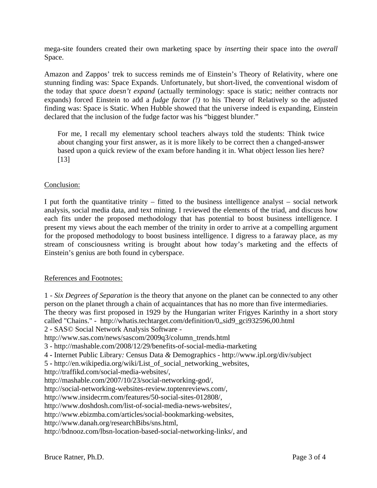mega-site founders created their own marketing space by *inserting* their space into the *overall* Space.

Amazon and Zappos' trek to success reminds me of Einstein's Theory of Relativity, where one stunning finding was: Space Expands. Unfortunately, but short-lived, the conventional wisdom of the today that *space doesn't expand* (actually terminology: space is static; neither contracts nor expands) forced Einstein to add a *fudge factor (!)* to his Theory of Relatively so the adjusted finding was: Space is Static. When Hubble showed that the universe indeed is expanding, Einstein declared that the inclusion of the fudge factor was his "biggest blunder."

For me, I recall my elementary school teachers always told the students: Think twice about changing your first answer, as it is more likely to be correct then a changed-answer based upon a quick review of the exam before handing it in. What object lesson lies here? [13]

## Conclusion:

I put forth the quantitative trinity – fitted to the business intelligence analyst – social network analysis, social media data, and text mining. I reviewed the elements of the triad, and discuss how each fits under the proposed methodology that has potential to boost business intelligence. I present my views about the each member of the trinity in order to arrive at a compelling argument for the proposed methodology to boost business intelligence. I digress to a faraway place, as my stream of consciousness writing is brought about how today's marketing and the effects of Einstein's genius are both found in cyberspace.

## References and Footnotes:

1 - *Six Degrees of Separation* is the theory that anyone on the planet can be connected to any other person on the planet through a chain of acquaintances that has no more than five intermediaries. The theory was first proposed in 1929 by the Hungarian writer Frigyes Karinthy in a short story called "Chains." - [http://whatis.techtarget.com/definition/0,,sid9\\_gci932596,00.html](http://whatis.techtarget.com/definition/0,,sid9_gci932596,00.html) 

2 - SAS© Social Network Analysis Software -

http://www.sas.com/news/sascom/2009q3/column\_trends.html

3 - http://mashable.com/2008/12/29/benefits-of-social-media-marketing

4 **-** Internet Public Library*:* Census Data *&* Demographics - http://www.ipl.org/div/subject

5 **-** http://en.wikipedia.org/wiki/List\_of\_social\_networking\_websites,

http://traffikd.com/social-media-websites/,

http://mashable.com/2007/10/23/social-networking-god/,

http://social-networking-websites-review.toptenreviews.com/,

http://www.insidecrm.com/features/50-social-sites-012808/,

http://www.doshdosh.com/list-of-social-media-news-websites/,

http://www.ebizmba.com/articles/social-bookmarking-websites,

http://www.danah.org/researchBibs/sns.html,

http://bdnooz.com/lbsn-location-based-social-networking-links/, and